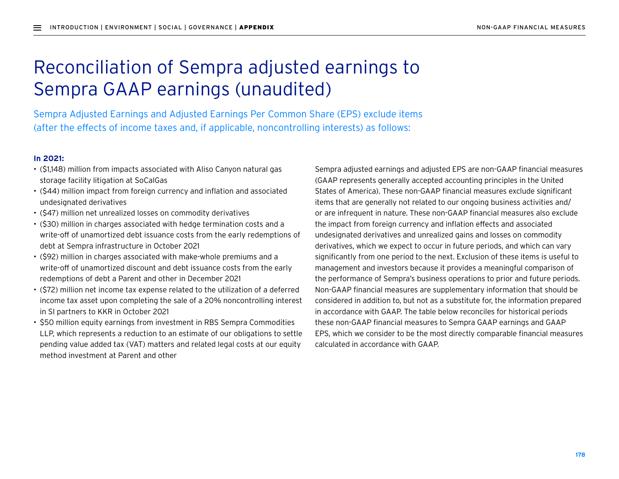# Reconciliation of Sempra adjusted earnings to Sempra GAAP earnings (unaudited)

Sempra Adjusted Earnings and Adjusted Earnings Per Common Share (EPS) exclude items (after the effects of income taxes and, if applicable, noncontrolling interests) as follows:

#### **In 2021:**

- (\$1,148) million from impacts associated with Aliso Canyon natural gas storage facility litigation at SoCalGas
- (\$44) million impact from foreign currency and inflation and associated undesignated derivatives
- (\$47) million net unrealized losses on commodity derivatives
- (\$30) million in charges associated with hedge termination costs and a write-off of unamortized debt issuance costs from the early redemptions of debt at Sempra infrastructure in October 2021
- (\$92) million in charges associated with make-whole premiums and a write-off of unamortized discount and debt issuance costs from the early redemptions of debt a Parent and other in December 2021
- (\$72) million net income tax expense related to the utilization of a deferred income tax asset upon completing the sale of a 20% noncontrolling interest in SI partners to KKR in October 2021
- \$50 million equity earnings from investment in RBS Sempra Commodities LLP, which represents a reduction to an estimate of our obligations to settle pending value added tax (VAT) matters and related legal costs at our equity method investment at Parent and other

Sempra adjusted earnings and adjusted EPS are non-GAAP financial measures (GAAP represents generally accepted accounting principles in the United States of America). These non-GAAP financial measures exclude significant items that are generally not related to our ongoing business activities and/ or are infrequent in nature. These non-GAAP financial measures also exclude the impact from foreign currency and inflation effects and associated undesignated derivatives and unrealized gains and losses on commodity derivatives, which we expect to occur in future periods, and which can vary significantly from one period to the next. Exclusion of these items is useful to management and investors because it provides a meaningful comparison of the performance of Sempra's business operations to prior and future periods. Non-GAAP financial measures are supplementary information that should be considered in addition to, but not as a substitute for, the information prepared in accordance with GAAP. The table below reconciles for historical periods these non-GAAP financial measures to Sempra GAAP earnings and GAAP EPS, which we consider to be the most directly comparable financial measures calculated in accordance with GAAP.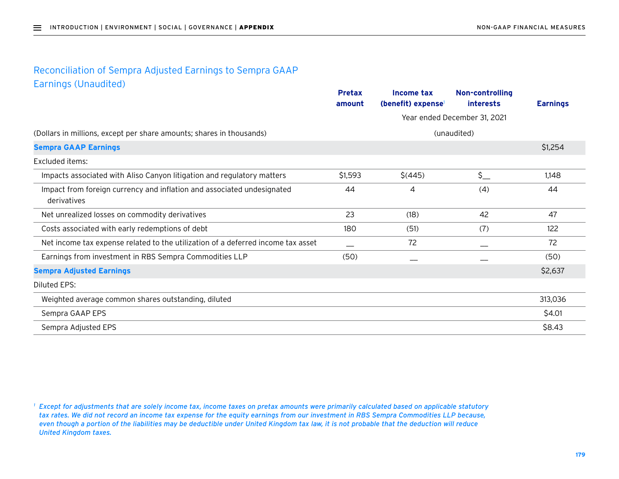### Reconciliation of Sempra Adjusted Earnings to Sempra GAAP Earnings (Unaudited)

|                                                                                       | <b>Pretax</b><br>amount | Income tax<br>(benefit) expense | Non-controlling<br><i>interests</i> | <b>Earnings</b> |
|---------------------------------------------------------------------------------------|-------------------------|---------------------------------|-------------------------------------|-----------------|
|                                                                                       |                         | Year ended December 31, 2021    |                                     |                 |
| (Dollars in millions, except per share amounts; shares in thousands)                  |                         | (unaudited)                     |                                     |                 |
| <b>Sempra GAAP Earnings</b>                                                           |                         |                                 |                                     | \$1,254         |
| <b>Excluded items:</b>                                                                |                         |                                 |                                     |                 |
| Impacts associated with Aliso Canyon litigation and regulatory matters                | \$1,593                 | $$$ (445)                       | $\zeta$                             | 1,148           |
| Impact from foreign currency and inflation and associated undesignated<br>derivatives | 44                      | 4                               | (4)                                 | 44              |
| Net unrealized losses on commodity derivatives                                        | 23                      | (18)                            | 42                                  | 47              |
| Costs associated with early redemptions of debt                                       | 180                     | (51)                            | (7)                                 | 122             |
| Net income tax expense related to the utilization of a deferred income tax asset      |                         | 72                              |                                     | 72              |
| Earnings from investment in RBS Sempra Commodities LLP                                | (50)                    |                                 |                                     | (50)            |
| <b>Sempra Adjusted Earnings</b>                                                       |                         |                                 |                                     | \$2,637         |
| Diluted EPS:                                                                          |                         |                                 |                                     |                 |
| Weighted average common shares outstanding, diluted                                   |                         |                                 |                                     | 313,036         |
| Sempra GAAP EPS                                                                       |                         |                                 |                                     | \$4.01          |
| Sempra Adjusted EPS                                                                   |                         |                                 |                                     | \$8.43          |

*<sup>1</sup> Except for adjustments that are solely income tax, income taxes on pretax amounts were primarily calculated based on applicable statutory tax rates. We did not record an income tax expense for the equity earnings from our investment in RBS Sempra Commodities LLP because, even though a portion of the liabilities may be deductible under United Kingdom tax law, it is not probable that the deduction will reduce United Kingdom taxes.*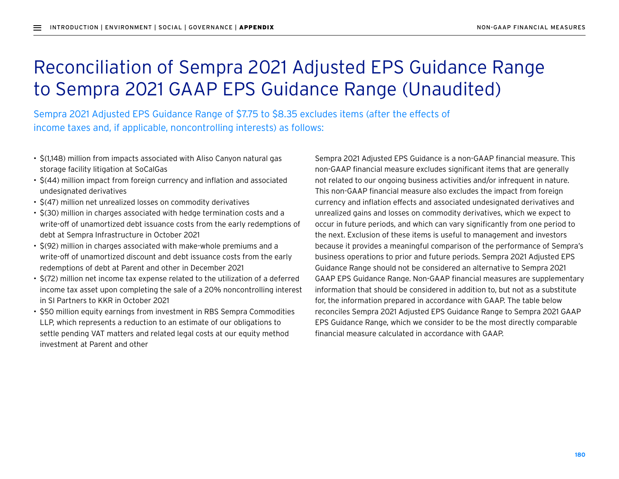# Reconciliation of Sempra 2021 Adjusted EPS Guidance Range to Sempra 2021 GAAP EPS Guidance Range (Unaudited)

Sempra 2021 Adjusted EPS Guidance Range of \$7.75 to \$8.35 excludes items (after the effects of income taxes and, if applicable, noncontrolling interests) as follows:

- \$(1,148) million from impacts associated with Aliso Canyon natural gas storage facility litigation at SoCalGas
- \$(44) million impact from foreign currency and inflation and associated undesignated derivatives
- \$(47) million net unrealized losses on commodity derivatives
- \$(30) million in charges associated with hedge termination costs and a write-off of unamortized debt issuance costs from the early redemptions of debt at Sempra Infrastructure in October 2021
- \$(92) million in charges associated with make-whole premiums and a write-off of unamortized discount and debt issuance costs from the early redemptions of debt at Parent and other in December 2021
- \$(72) million net income tax expense related to the utilization of a deferred income tax asset upon completing the sale of a 20% noncontrolling interest in SI Partners to KKR in October 2021
- \$50 million equity earnings from investment in RBS Sempra Commodities LLP, which represents a reduction to an estimate of our obligations to settle pending VAT matters and related legal costs at our equity method investment at Parent and other

Sempra 2021 Adjusted EPS Guidance is a non-GAAP financial measure. This non-GAAP financial measure excludes significant items that are generally not related to our ongoing business activities and/or infrequent in nature. This non-GAAP financial measure also excludes the impact from foreign currency and inflation effects and associated undesignated derivatives and unrealized gains and losses on commodity derivatives, which we expect to occur in future periods, and which can vary significantly from one period to the next. Exclusion of these items is useful to management and investors because it provides a meaningful comparison of the performance of Sempra's business operations to prior and future periods. Sempra 2021 Adjusted EPS Guidance Range should not be considered an alternative to Sempra 2021 GAAP EPS Guidance Range. Non-GAAP financial measures are supplementary information that should be considered in addition to, but not as a substitute for, the information prepared in accordance with GAAP. The table below reconciles Sempra 2021 Adjusted EPS Guidance Range to Sempra 2021 GAAP EPS Guidance Range, which we consider to be the most directly comparable financial measure calculated in accordance with GAAP.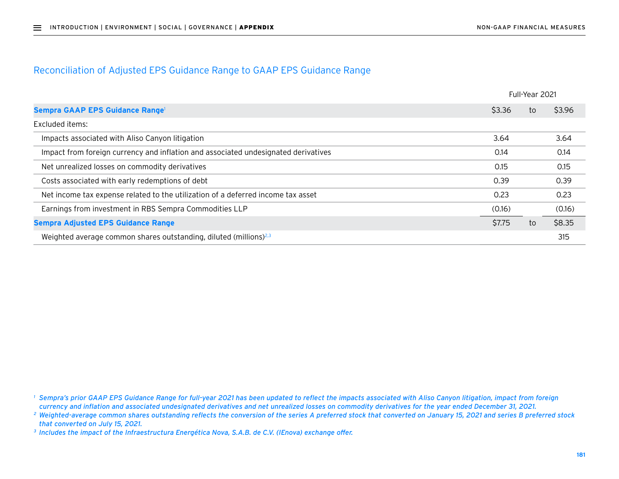#### Reconciliation of Adjusted EPS Guidance Range to GAAP EPS Guidance Range

|                                                                                    |        | Full-Year 2021 |        |  |
|------------------------------------------------------------------------------------|--------|----------------|--------|--|
| Sempra GAAP EPS Guidance Range <sup>1</sup>                                        | \$3.36 | to             | \$3.96 |  |
| Excluded items:                                                                    |        |                |        |  |
| Impacts associated with Aliso Canyon litigation                                    | 3.64   |                | 3.64   |  |
| Impact from foreign currency and inflation and associated undesignated derivatives | 0.14   |                | 0.14   |  |
| Net unrealized losses on commodity derivatives                                     | 0.15   |                | 0.15   |  |
| Costs associated with early redemptions of debt                                    | 0.39   |                | 0.39   |  |
| Net income tax expense related to the utilization of a deferred income tax asset   | 0.23   |                | 0.23   |  |
| Earnings from investment in RBS Sempra Commodities LLP                             | (0.16) |                | (0.16) |  |
| <b>Sempra Adjusted EPS Guidance Range</b>                                          | \$7.75 | to             | \$8.35 |  |
| Weighted average common shares outstanding, diluted (millions) $^{2,3}$            |        |                | 315    |  |

*<sup>1</sup> Sempra's prior GAAP EPS Guidance Range for full-year 2021 has been updated to reflect the impacts associated with Aliso Canyon litigation, impact from foreign currency and inflation and associated undesignated derivatives and net unrealized losses on commodity derivatives for the year ended December 31, 2021.*

<sup>&</sup>lt;sup>2</sup> Weighted-average common shares outstanding reflects the conversion of the series A preferred stock that converted on January 15, 2021 and series B preferred stock *that converted on July 15, 2021.*

*<sup>3</sup> Includes the impact of the Infraestructura Energética Nova, S.A.B. de C.V. (IEnova) exchange offer.*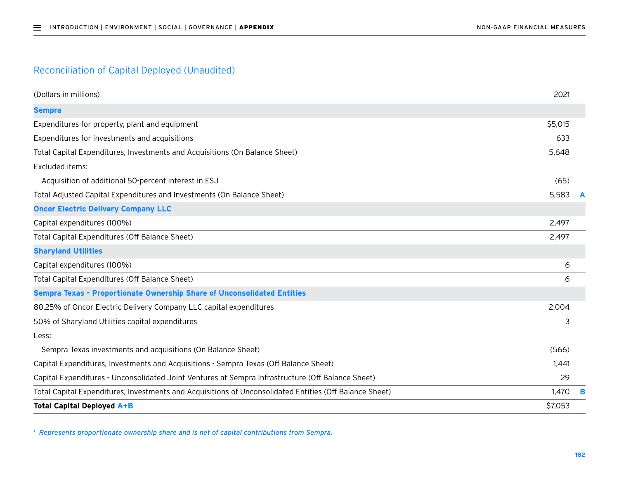## Reconciliation of Capital Deployed (Unaudited)

| (Dollars in millions)                                                                                   | 2021    |   |
|---------------------------------------------------------------------------------------------------------|---------|---|
| <b>Sempra</b>                                                                                           |         |   |
| Expenditures for property, plant and equipment                                                          | \$5,015 |   |
| Expenditures for investments and acquisitions                                                           | 633     |   |
| Total Capital Expenditures, Investments and Acquisitions (On Balance Sheet)                             | 5,648   |   |
| Excluded items:                                                                                         |         |   |
| Acquisition of additional 50-percent interest in ESJ                                                    | (65)    |   |
| Total Adjusted Capital Expenditures and Investments (On Balance Sheet)                                  | 5,583   |   |
| <b>Oncor Electric Delivery Company LLC</b>                                                              |         |   |
| Capital expenditures (100%)                                                                             | 2,497   |   |
| Total Capital Expenditures (Off Balance Sheet)                                                          | 2,497   |   |
| <b>Sharyland Utilities</b>                                                                              |         |   |
| Capital expenditures (100%)                                                                             | 6       |   |
| Total Capital Expenditures (Off Balance Sheet)                                                          | 6       |   |
| Sempra Texas - Proportionate Ownership Share of Unconsolidated Entities                                 |         |   |
| 80.25% of Oncor Electric Delivery Company LLC capital expenditures                                      | 2,004   |   |
| 50% of Sharyland Utilities capital expenditures                                                         | 3       |   |
| Less:                                                                                                   |         |   |
| Sempra Texas investments and acquisitions (On Balance Sheet)                                            | (566)   |   |
| Capital Expenditures, Investments and Acquisitions - Sempra Texas (Off Balance Sheet)                   | 1,441   |   |
| Capital Expenditures - Unconsolidated Joint Ventures at Sempra Infrastructure (Off Balance Sheet)       | 29      |   |
| Total Capital Expenditures, Investments and Acquisitions of Unconsolidated Entities (Off Balance Sheet) | 1,470   | в |
| <b>Total Capital Deployed A+B</b>                                                                       | \$7,053 |   |

*<sup>1</sup> Represents proportionate ownership share and is net of capital contributions from Sempra.*